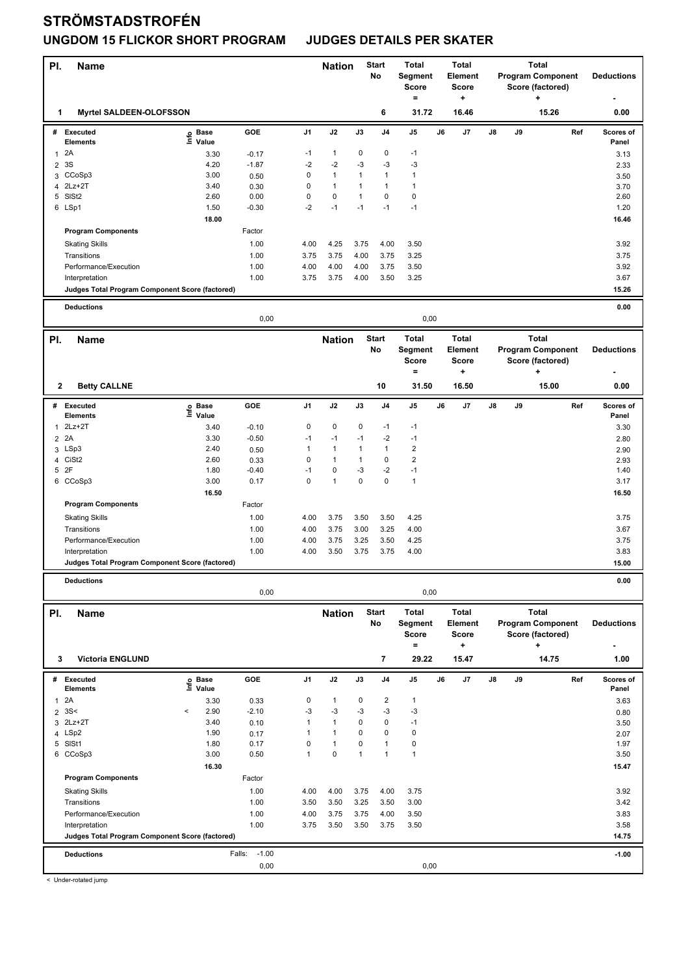| PI.            | <b>Name</b>                                                       |                   |                           | <b>Start</b><br><b>Nation</b><br>No |                              | <b>Total</b><br>Segment<br><b>Score</b><br>$\equiv$ |                         | <b>Total</b><br><b>Element</b><br><b>Score</b><br>۰. |    |                                | <b>Total</b><br><b>Program Component</b><br>Score (factored)<br>٠ | <b>Deductions</b> |                                                   |                   |
|----------------|-------------------------------------------------------------------|-------------------|---------------------------|-------------------------------------|------------------------------|-----------------------------------------------------|-------------------------|------------------------------------------------------|----|--------------------------------|-------------------------------------------------------------------|-------------------|---------------------------------------------------|-------------------|
| 1              | <b>Myrtel SALDEEN-OLOFSSON</b>                                    |                   |                           |                                     |                              |                                                     | 6                       | 31.72                                                |    | 16.46                          |                                                                   |                   | 15.26                                             | 0.00              |
| #              | <b>Executed</b>                                                   | e Base<br>⊆ Value | GOE                       | J1                                  | J2                           | J3                                                  | J <sub>4</sub>          | $\mathsf{J}5$                                        | J6 | J7                             | J8                                                                | J9                | Ref                                               | Scores of         |
| 1              | <b>Elements</b><br>2A                                             | 3.30              | $-0.17$                   | $-1$                                | $\mathbf{1}$                 | 0                                                   | 0                       | $-1$                                                 |    |                                |                                                                   |                   |                                                   | Panel<br>3.13     |
| $\overline{2}$ | 3S                                                                | 4.20              | $-1.87$                   | $-2$                                | $-2$                         | -3                                                  | $-3$                    | $-3$                                                 |    |                                |                                                                   |                   |                                                   | 2.33              |
|                | 3 CCoSp3                                                          | 3.00              | 0.50                      | 0                                   | $\mathbf{1}$                 | $\mathbf{1}$                                        | 1                       | $\mathbf{1}$                                         |    |                                |                                                                   |                   |                                                   | 3.50              |
| 4              | 2Lz+2T                                                            | 3.40              | 0.30                      | $\mathbf 0$                         | $\mathbf{1}$                 | 1                                                   | 1                       | $\mathbf{1}$                                         |    |                                |                                                                   |                   |                                                   | 3.70              |
|                | 5 SISt2                                                           | 2.60              | 0.00                      | $\mathbf 0$                         | $\pmb{0}$                    | $\mathbf{1}$                                        | 0                       | 0                                                    |    |                                |                                                                   |                   |                                                   | 2.60              |
|                | 6 LSp1                                                            | 1.50              | $-0.30$                   | $-2$                                | $-1$                         | $-1$                                                | $-1$                    | $-1$                                                 |    |                                |                                                                   |                   |                                                   | 1.20              |
|                |                                                                   | 18.00             |                           |                                     |                              |                                                     |                         |                                                      |    |                                |                                                                   |                   |                                                   | 16.46             |
|                | <b>Program Components</b>                                         |                   | Factor                    |                                     |                              |                                                     |                         |                                                      |    |                                |                                                                   |                   |                                                   |                   |
|                | <b>Skating Skills</b>                                             |                   | 1.00                      | 4.00                                | 4.25                         | 3.75                                                | 4.00                    | 3.50                                                 |    |                                |                                                                   |                   |                                                   | 3.92              |
|                | Transitions<br>Performance/Execution                              |                   | 1.00<br>1.00              | 3.75<br>4.00                        | 3.75<br>4.00                 | 4.00<br>4.00                                        | 3.75<br>3.75            | 3.25<br>3.50                                         |    |                                |                                                                   |                   |                                                   | 3.75<br>3.92      |
|                | Interpretation                                                    |                   | 1.00                      | 3.75                                | 3.75                         | 4.00                                                | 3.50                    | 3.25                                                 |    |                                |                                                                   |                   |                                                   | 3.67              |
|                | Judges Total Program Component Score (factored)                   |                   |                           |                                     |                              |                                                     |                         |                                                      |    |                                |                                                                   |                   |                                                   | 15.26             |
|                |                                                                   |                   |                           |                                     |                              |                                                     |                         |                                                      |    |                                |                                                                   |                   |                                                   |                   |
|                | <b>Deductions</b>                                                 |                   | 0,00                      |                                     |                              |                                                     |                         | 0,00                                                 |    |                                |                                                                   |                   |                                                   | 0.00              |
| PI.            | <b>Name</b>                                                       |                   |                           |                                     | <b>Nation</b>                |                                                     | <b>Start</b>            | <b>Total</b>                                         |    | <b>Total</b>                   |                                                                   |                   | <b>Total</b>                                      |                   |
|                |                                                                   |                   |                           |                                     |                              |                                                     | No                      | Segment<br><b>Score</b>                              |    | <b>Element</b><br><b>Score</b> |                                                                   |                   | <b>Program Component</b><br>Score (factored)      | <b>Deductions</b> |
|                |                                                                   |                   |                           |                                     |                              |                                                     |                         | $=$                                                  |    | $\ddot{}$                      |                                                                   |                   | ٠                                                 |                   |
| 2              | <b>Betty CALLNE</b>                                               |                   |                           |                                     |                              |                                                     | 10                      | 31.50                                                |    | 16.50                          |                                                                   |                   | 15.00                                             | 0.00              |
|                | # Executed                                                        | e Base<br>⊆ Value | GOE                       | J1                                  | J2                           | J3                                                  | J4                      | J5                                                   | J6 | J7                             | J8                                                                | J9                | Ref                                               | Scores of         |
|                | <b>Elements</b><br>2Lz+2T                                         |                   |                           | 0                                   | $\pmb{0}$                    | 0                                                   | $-1$                    | $-1$                                                 |    |                                |                                                                   |                   |                                                   | Panel             |
| $\mathbf{1}$   | 2 2A                                                              | 3.40<br>3.30      | $-0.10$<br>$-0.50$        | $-1$                                | $-1$                         | $-1$                                                | $-2$                    | $-1$                                                 |    |                                |                                                                   |                   |                                                   | 3.30<br>2.80      |
|                | 3 LSp3                                                            | 2.40              | 0.50                      | 1                                   | $\mathbf{1}$                 | $\mathbf{1}$                                        | $\mathbf{1}$            | $\overline{\mathbf{c}}$                              |    |                                |                                                                   |                   |                                                   | 2.90              |
|                | 4 CiSt2                                                           | 2.60              | 0.33                      | 0                                   | $\mathbf{1}$                 | $\mathbf{1}$                                        | 0                       | $\overline{\mathbf{c}}$                              |    |                                |                                                                   |                   |                                                   | 2.93              |
| 5              | 2F                                                                | 1.80              | $-0.40$                   | $-1$                                | 0                            | -3                                                  | $-2$                    | $-1$                                                 |    |                                |                                                                   |                   |                                                   | 1.40              |
|                | 6 CCoSp3                                                          | 3.00              | 0.17                      | $\mathbf 0$                         | $\mathbf{1}$                 | $\mathbf 0$                                         | 0                       | $\mathbf{1}$                                         |    |                                |                                                                   |                   |                                                   | 3.17              |
|                |                                                                   | 16.50             |                           |                                     |                              |                                                     |                         |                                                      |    |                                |                                                                   |                   |                                                   | 16.50             |
|                | <b>Program Components</b>                                         |                   | Factor                    |                                     |                              |                                                     |                         |                                                      |    |                                |                                                                   |                   |                                                   |                   |
|                | <b>Skating Skills</b>                                             |                   | 1.00                      | 4.00                                | 3.75                         | 3.50                                                | 3.50                    | 4.25                                                 |    |                                |                                                                   |                   |                                                   | 3.75              |
|                | Transitions<br>Performance/Execution                              |                   | 1.00<br>1.00              | 4.00<br>4.00                        | 3.75<br>3.75                 | 3.00<br>3.25                                        | 3.25<br>3.50            | 4.00<br>4.25                                         |    |                                |                                                                   |                   |                                                   | 3.67<br>3.75      |
|                | Interpretation                                                    |                   | 1.00                      | 4.00                                | 3.50                         | 3.75                                                | 3.75                    | 4.00                                                 |    |                                |                                                                   |                   |                                                   | 3.83              |
|                | Judges Total Program Component Score (factored)                   |                   |                           |                                     |                              |                                                     |                         |                                                      |    |                                |                                                                   |                   |                                                   | 15.00             |
|                | <b>Deductions</b>                                                 |                   |                           |                                     |                              |                                                     |                         |                                                      |    |                                |                                                                   |                   |                                                   | 0.00              |
|                |                                                                   |                   | 0,00                      |                                     |                              |                                                     |                         | 0,00                                                 |    |                                |                                                                   |                   |                                                   |                   |
| PI.            | Name                                                              |                   |                           |                                     | <b>Nation</b>                |                                                     | <b>Start</b>            | Total                                                |    | <b>Total</b>                   |                                                                   |                   | <b>Total</b>                                      |                   |
|                |                                                                   |                   |                           |                                     |                              |                                                     | No                      | Segment<br><b>Score</b><br>$\equiv$                  |    | <b>Element</b><br><b>Score</b> |                                                                   |                   | <b>Program Component</b><br>Score (factored)<br>÷ | <b>Deductions</b> |
| 3              | <b>Victoria ENGLUND</b>                                           |                   |                           |                                     |                              |                                                     | $\overline{\mathbf{r}}$ | 29.22                                                |    | $\ddot{}$<br>15.47             |                                                                   |                   | 14.75                                             | 1.00              |
|                | # Executed                                                        |                   | GOE                       | J1                                  | J2                           | J3                                                  | J4                      | J5                                                   | J6 | J7                             | J8                                                                | J9                | Ref                                               | Scores of         |
|                | <b>Elements</b>                                                   | e Base<br>⊑ Value |                           |                                     |                              |                                                     |                         |                                                      |    |                                |                                                                   |                   |                                                   | Panel             |
| $\mathbf{1}$   | 2A                                                                | 3.30              | 0.33                      | 0                                   | $\mathbf{1}$                 | 0                                                   | $\overline{2}$          | $\mathbf{1}$                                         |    |                                |                                                                   |                   |                                                   | 3.63              |
|                | $2 \, 3S <$                                                       | 2.90<br>$\,<$     | $-2.10$                   | $-3$                                | $-3$                         | $-3$                                                | $-3$                    | $-3$                                                 |    |                                |                                                                   |                   |                                                   | 0.80              |
|                | 3 2Lz+2T<br>4 LSp2                                                | 3.40<br>1.90      | 0.10                      | 1<br>1                              | $\mathbf{1}$<br>$\mathbf{1}$ | 0<br>0                                              | 0<br>0                  | $-1$<br>0                                            |    |                                |                                                                   |                   |                                                   | 3.50              |
|                | 5 SISt1                                                           | 1.80              | 0.17<br>0.17              | 0                                   | $\mathbf{1}$                 | 0                                                   | $\mathbf{1}$            | $\pmb{0}$                                            |    |                                |                                                                   |                   |                                                   | 2.07<br>1.97      |
|                | 6 CCoSp3                                                          | 3.00              | 0.50                      | $\mathbf{1}$                        | $\mathbf 0$                  | $\mathbf{1}$                                        | $\mathbf{1}$            | $\mathbf{1}$                                         |    |                                |                                                                   |                   |                                                   | 3.50              |
|                |                                                                   | 16.30             |                           |                                     |                              |                                                     |                         |                                                      |    |                                |                                                                   |                   |                                                   | 15.47             |
|                | <b>Program Components</b>                                         |                   | Factor                    |                                     |                              |                                                     |                         |                                                      |    |                                |                                                                   |                   |                                                   |                   |
|                | <b>Skating Skills</b>                                             |                   | 1.00                      | 4.00                                | 4.00                         | 3.75                                                | 4.00                    | 3.75                                                 |    |                                |                                                                   |                   |                                                   | 3.92              |
|                | Transitions                                                       |                   | 1.00                      | 3.50                                | 3.50                         | 3.25                                                | 3.50                    | 3.00                                                 |    |                                |                                                                   |                   |                                                   | 3.42              |
|                | Performance/Execution                                             |                   | 1.00                      | 4.00                                | 3.75                         | 3.75                                                | 4.00                    | 3.50                                                 |    |                                |                                                                   |                   |                                                   | 3.83              |
|                | Interpretation<br>Judges Total Program Component Score (factored) |                   | 1.00                      | 3.75                                | 3.50                         | 3.50                                                | 3.75                    | 3.50                                                 |    |                                |                                                                   |                   |                                                   | 3.58<br>14.75     |
|                |                                                                   |                   |                           |                                     |                              |                                                     |                         |                                                      |    |                                |                                                                   |                   |                                                   |                   |
|                | <b>Deductions</b>                                                 |                   | $-1.00$<br>Falls:<br>0,00 |                                     |                              |                                                     |                         | 0,00                                                 |    |                                |                                                                   |                   |                                                   | $-1.00$           |
|                |                                                                   |                   |                           |                                     |                              |                                                     |                         |                                                      |    |                                |                                                                   |                   |                                                   |                   |

< Under-rotated jump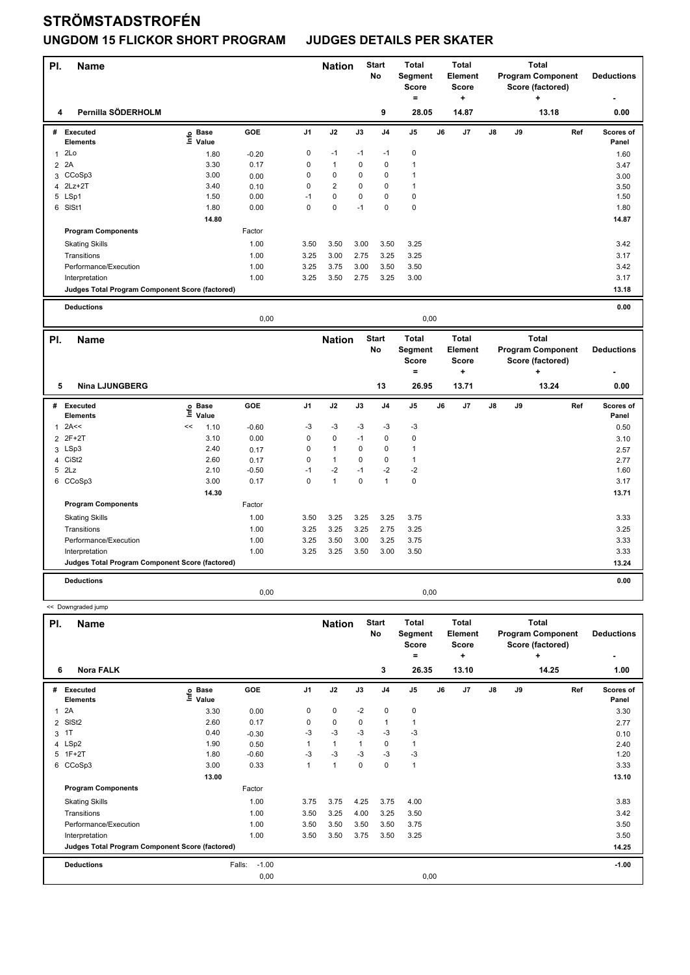| PI.            | <b>Name</b>                                                       |                   |            |                | <b>Nation</b>  |             | <b>Start</b><br><b>No</b> | <b>Total</b><br>Segment<br><b>Score</b><br>$=$ |    | <b>Total</b><br>Element<br><b>Score</b><br>÷ |    |    | <b>Total</b><br><b>Program Component</b><br>Score (factored)<br>٠ |     | <b>Deductions</b>  |
|----------------|-------------------------------------------------------------------|-------------------|------------|----------------|----------------|-------------|---------------------------|------------------------------------------------|----|----------------------------------------------|----|----|-------------------------------------------------------------------|-----|--------------------|
| 4              | Pernilla SÖDERHOLM                                                |                   |            |                |                |             | 9                         | 28.05                                          |    | 14.87                                        |    |    | 13.18                                                             |     | 0.00               |
|                | # Executed<br><b>Elements</b>                                     | e Base<br>⊆ Value | GOE        | J <sub>1</sub> | J2             | J3          | J4                        | J <sub>5</sub>                                 | J6 | J7                                           | J8 | J9 |                                                                   | Ref | Scores of<br>Panel |
| $\mathbf{1}$   | 2Lo                                                               | 1.80              | $-0.20$    | 0              | $-1$           | $-1$        | $-1$                      | $\pmb{0}$                                      |    |                                              |    |    |                                                                   |     | 1.60               |
| $\overline{2}$ | 2A                                                                | 3.30              | 0.17       | 0              | $\mathbf{1}$   | 0           | $\mathbf 0$               | $\mathbf{1}$                                   |    |                                              |    |    |                                                                   |     | 3.47               |
| 3              | CCoSp3                                                            | 3.00              | 0.00       | 0              | $\mathbf 0$    | 0           | $\mathbf 0$               | $\mathbf{1}$                                   |    |                                              |    |    |                                                                   |     | 3.00               |
| 4              | $2Lz+2T$                                                          | 3.40              | 0.10       | 0              | $\overline{2}$ | 0           | $\mathbf 0$               | $\mathbf{1}$                                   |    |                                              |    |    |                                                                   |     | 3.50               |
|                | 5 LSp1                                                            | 1.50              | 0.00       | $-1$           | $\pmb{0}$      | $\mathbf 0$ | $\mathbf 0$               | $\pmb{0}$                                      |    |                                              |    |    |                                                                   |     | 1.50               |
|                | 6 SISt1                                                           | 1.80              | 0.00       | 0              | 0              | $-1$        | $\mathbf 0$               | $\pmb{0}$                                      |    |                                              |    |    |                                                                   |     | 1.80               |
|                |                                                                   | 14.80             |            |                |                |             |                           |                                                |    |                                              |    |    |                                                                   |     | 14.87              |
|                | <b>Program Components</b>                                         |                   | Factor     |                |                |             |                           |                                                |    |                                              |    |    |                                                                   |     |                    |
|                | <b>Skating Skills</b>                                             |                   | 1.00       | 3.50           | 3.50           | 3.00        | 3.50                      | 3.25                                           |    |                                              |    |    |                                                                   |     | 3.42               |
|                | Transitions                                                       |                   | 1.00       | 3.25           | 3.00           | 2.75        | 3.25                      | 3.25                                           |    |                                              |    |    |                                                                   |     | 3.17               |
|                | Performance/Execution                                             |                   | 1.00       | 3.25           | 3.75           | 3.00        | 3.50                      | 3.50                                           |    |                                              |    |    |                                                                   |     | 3.42               |
|                | Interpretation                                                    |                   | 1.00       | 3.25           | 3.50           | 2.75        | 3.25                      | 3.00                                           |    |                                              |    |    |                                                                   |     | 3.17               |
|                | Judges Total Program Component Score (factored)                   |                   |            |                |                |             |                           |                                                |    |                                              |    |    |                                                                   |     | 13.18              |
|                |                                                                   |                   |            |                |                |             |                           |                                                |    |                                              |    |    |                                                                   |     |                    |
|                | <b>Deductions</b>                                                 |                   |            |                |                |             |                           |                                                |    |                                              |    |    |                                                                   |     | 0.00               |
|                |                                                                   |                   |            |                |                |             |                           |                                                |    |                                              |    |    |                                                                   |     |                    |
|                |                                                                   |                   | 0,00       |                |                |             |                           | 0,00                                           |    |                                              |    |    |                                                                   |     |                    |
|                |                                                                   |                   |            |                |                |             |                           |                                                |    | <b>Total</b>                                 |    |    | <b>Total</b>                                                      |     |                    |
| PI.            | <b>Name</b>                                                       |                   |            |                | <b>Nation</b>  |             | <b>Start</b><br>No        | <b>Total</b><br>Segment                        |    | Element                                      |    |    | <b>Program Component</b>                                          |     | <b>Deductions</b>  |
|                |                                                                   |                   |            |                |                |             |                           | <b>Score</b>                                   |    | <b>Score</b>                                 |    |    | Score (factored)                                                  |     |                    |
|                |                                                                   |                   |            |                |                |             |                           | $=$                                            |    | ÷                                            |    |    | ٠                                                                 |     |                    |
| 5              | <b>Nina LJUNGBERG</b>                                             |                   |            |                |                |             | 13                        | 26.95                                          |    | 13.71                                        |    |    | 13.24                                                             |     | 0.00               |
| #              | Executed                                                          | <b>Base</b>       | <b>GOE</b> | J <sub>1</sub> | J2             | J3          | J <sub>4</sub>            | J <sub>5</sub>                                 | J6 | J <sub>7</sub>                               | J8 | J9 |                                                                   | Ref | Scores of          |
|                | <b>Elements</b>                                                   | lnfo<br>Value     |            |                |                |             |                           |                                                |    |                                              |    |    |                                                                   |     | Panel              |
| $\mathbf{1}$   | 2A<<                                                              | <<<br>1.10        | $-0.60$    | $-3$           | $-3$           | -3          | $-3$                      | $-3$                                           |    |                                              |    |    |                                                                   |     | 0.50               |
| $\overline{2}$ | $2F+2T$                                                           | 3.10              | 0.00       | $\mathbf 0$    | $\mathbf 0$    | $-1$        | $\mathbf 0$               | $\mathbf 0$                                    |    |                                              |    |    |                                                                   |     | 3.10               |
|                | 3 LSp3                                                            | 2.40              | 0.17       | 0              | $\mathbf{1}$   | $\mathbf 0$ | $\mathbf 0$               | $\mathbf{1}$                                   |    |                                              |    |    |                                                                   |     | 2.57               |
| 4              | CiSt <sub>2</sub>                                                 | 2.60              | 0.17       | $\mathbf 0$    | $\mathbf{1}$   | $\mathbf 0$ | $\mathbf 0$               | $\mathbf{1}$                                   |    |                                              |    |    |                                                                   |     | 2.77               |
| 5              | 2Lz                                                               | 2.10              | $-0.50$    | $-1$           | $-2$           | $-1$        | $-2$                      | $-2$                                           |    |                                              |    |    |                                                                   |     | 1.60               |
| 6              | CCoSp3                                                            | 3.00              | 0.17       | 0              | $\mathbf{1}$   | 0           | $\mathbf{1}$              | $\pmb{0}$                                      |    |                                              |    |    |                                                                   |     | 3.17               |
|                | <b>Program Components</b>                                         | 14.30             | Factor     |                |                |             |                           |                                                |    |                                              |    |    |                                                                   |     | 13.71              |
|                |                                                                   |                   |            |                |                |             |                           |                                                |    |                                              |    |    |                                                                   |     |                    |
|                | <b>Skating Skills</b>                                             |                   | 1.00       | 3.50           | 3.25           | 3.25        | 3.25                      | 3.75                                           |    |                                              |    |    |                                                                   |     | 3.33               |
|                | Transitions                                                       |                   | 1.00       | 3.25           | 3.25           | 3.25        | 2.75                      | 3.25                                           |    |                                              |    |    |                                                                   |     | 3.25               |
|                | Performance/Execution                                             |                   | 1.00       | 3.25           | 3.50           | 3.00        | 3.25                      | 3.75                                           |    |                                              |    |    |                                                                   |     | 3.33               |
|                | Interpretation<br>Judges Total Program Component Score (factored) |                   | 1.00       | 3.25           | 3.25           | 3.50        | 3.00                      | 3.50                                           |    |                                              |    |    |                                                                   |     | 3.33<br>13.24      |

**Deductions 0.00**

 << Downgraded jump **Name Deductions - Nation Total Pl. Start Segment Score = Total Element Score + Total Program Component Score (factored) + No # Executed Elements Base Value GOE J1 J2 J3 J4 J5 J6 J7 J8 J9 Scores of Panel** 1 2A 28 23.30 0.00 0 0 -2 0 0 **Ref**  2A 3.30 **Info 6 Nora FALK 3 26.35 13.10 14.25 1.00** 2 SlSt2 2.60 0.17 0 0 0 1 1 2.77  $3 \quad 11$  0.40 -0.30 -3 -3 -3 -3 -3 -3 0.10 4 LSp2 1.90 0.50 1 1 1 0 1 2.40 5 1F+2T 1.80 -0.60 -3 -3 -3 -3 -3 1.20 6 CCoSp3 3.00 0.33 1 1 0 0 1 3.33  **13.00** 13.10 **Program Components**  Skating Skills 3.75 3.75 4.00 Factor 1.00 3.75 3.75 4.25 3.75 4.00 3.83 Transitions 1.00 3.50 3.25 4.00 3.25 3.50 3.42 Performance/Execution 1.00 3.50 3.50 3.50 3.50 3.75 3.50 3.75 Interpretation 1.00 3.50 3.50 3.75 3.50 3.25 3.50 **Deductions** Falls: -1.00 **-1.00 Judges Total Program Component Score (factored) 14.25** 0,00 0,00

0,00 0,00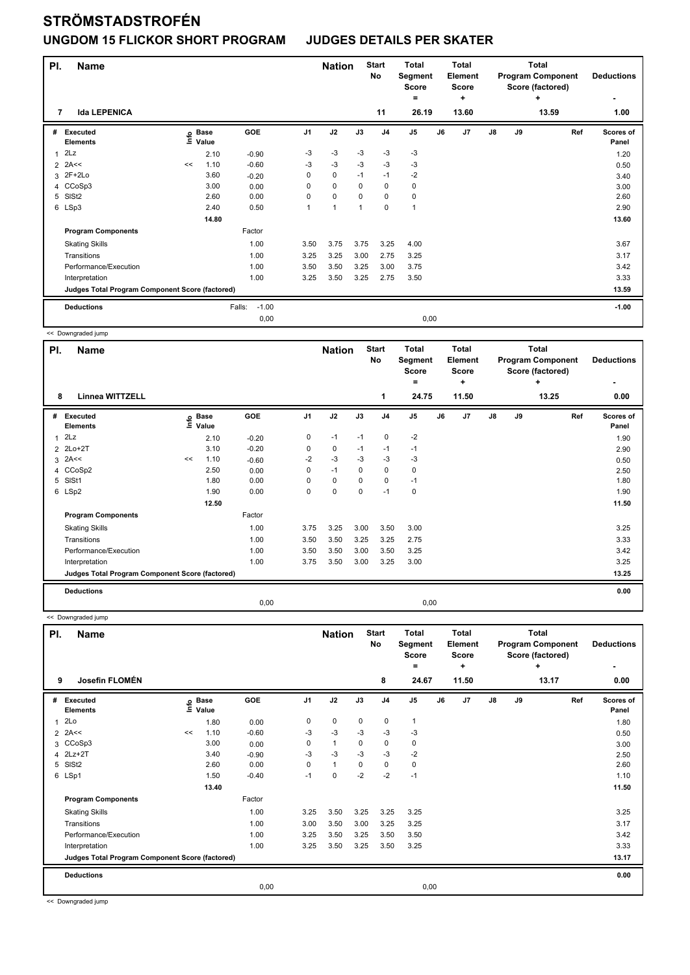| PI. | <b>Name</b>                                     |    |                            |                   |                | <b>Nation</b>  |                | <b>Start</b><br>No | <b>Total</b><br>Segment<br><b>Score</b><br>$=$ |    | <b>Total</b><br><b>Element</b><br><b>Score</b><br>÷ |               | <b>Total</b><br><b>Program Component</b><br>Score (factored) | <b>Deductions</b><br>٠ |                           |
|-----|-------------------------------------------------|----|----------------------------|-------------------|----------------|----------------|----------------|--------------------|------------------------------------------------|----|-----------------------------------------------------|---------------|--------------------------------------------------------------|------------------------|---------------------------|
| 7   | <b>Ida LEPENICA</b>                             |    |                            |                   |                |                |                | 11                 | 26.19                                          |    | 13.60                                               |               |                                                              | 13.59                  | 1.00                      |
| #   | Executed<br><b>Elements</b>                     |    | e Base<br>E Value<br>Value | GOE               | J <sub>1</sub> | J2             | J3             | J <sub>4</sub>     | J <sub>5</sub>                                 | J6 | J7                                                  | $\mathsf{J}8$ | J9                                                           | Ref                    | <b>Scores of</b><br>Panel |
| 1   | 2Lz                                             |    | 2.10                       | $-0.90$           | -3             | $-3$           | $-3$           | $-3$               | $-3$                                           |    |                                                     |               |                                                              |                        | 1.20                      |
|     | $2$ 2A <<                                       | << | 1.10                       | $-0.60$           | $-3$           | $-3$           | $-3$           | $-3$               | $-3$                                           |    |                                                     |               |                                                              |                        | 0.50                      |
| 3   | 2F+2Lo                                          |    | 3.60                       | $-0.20$           | 0              | $\pmb{0}$      | $-1$           | $-1$               | $-2$                                           |    |                                                     |               |                                                              |                        | 3.40                      |
|     | 4 CCoSp3                                        |    | 3.00                       | 0.00              | 0              | $\mathbf 0$    | 0              | $\mathbf 0$        | 0                                              |    |                                                     |               |                                                              |                        | 3.00                      |
| 5   | SISt <sub>2</sub>                               |    | 2.60                       | 0.00              | 0              | $\mathbf 0$    | $\mathbf 0$    | $\mathbf 0$        | $\pmb{0}$                                      |    |                                                     |               |                                                              |                        | 2.60                      |
|     | 6 LSp3                                          |    | 2.40                       | 0.50              |                | $\overline{1}$ | $\overline{1}$ | $\mathbf 0$        | 1                                              |    |                                                     |               |                                                              |                        | 2.90                      |
|     |                                                 |    | 14.80                      |                   |                |                |                |                    |                                                |    |                                                     |               |                                                              |                        | 13.60                     |
|     | <b>Program Components</b>                       |    |                            | Factor            |                |                |                |                    |                                                |    |                                                     |               |                                                              |                        |                           |
|     | <b>Skating Skills</b>                           |    |                            | 1.00              | 3.50           | 3.75           | 3.75           | 3.25               | 4.00                                           |    |                                                     |               |                                                              |                        | 3.67                      |
|     | Transitions                                     |    |                            | 1.00              | 3.25           | 3.25           | 3.00           | 2.75               | 3.25                                           |    |                                                     |               |                                                              |                        | 3.17                      |
|     | Performance/Execution                           |    |                            | 1.00              | 3.50           | 3.50           | 3.25           | 3.00               | 3.75                                           |    |                                                     |               |                                                              |                        | 3.42                      |
|     | Interpretation                                  |    |                            | 1.00              | 3.25           | 3.50           | 3.25           | 2.75               | 3.50                                           |    |                                                     |               |                                                              |                        | 3.33                      |
|     | Judges Total Program Component Score (factored) |    |                            |                   |                |                |                |                    |                                                |    |                                                     |               |                                                              |                        | 13.59                     |
|     | <b>Deductions</b>                               |    |                            | $-1.00$<br>Falls: |                |                |                |                    |                                                |    |                                                     |               |                                                              |                        | $-1.00$                   |
|     |                                                 |    |                            | 0,00              |                |                |                |                    | 0,00                                           |    |                                                     |               |                                                              |                        |                           |

<< Downgraded jump

| PI. | Name                                            |               |                      |         |                | <b>Nation</b> |             | <b>Start</b><br>No | <b>Total</b><br>Segment<br><b>Score</b><br>= |    | <b>Total</b><br>Element<br><b>Score</b><br>٠ |               | <b>Total</b><br><b>Program Component</b><br>Score (factored) | <b>Deductions</b><br>٠ |                           |
|-----|-------------------------------------------------|---------------|----------------------|---------|----------------|---------------|-------------|--------------------|----------------------------------------------|----|----------------------------------------------|---------------|--------------------------------------------------------------|------------------------|---------------------------|
| 8   | <b>Linnea WITTZELL</b>                          |               |                      |         |                |               |             | 1                  | 24.75                                        |    | 11.50                                        |               |                                                              | ٠<br>13.25             | 0.00                      |
| #   | Executed<br><b>Elements</b>                     | $\frac{6}{2}$ | <b>Base</b><br>Value | GOE     | J <sub>1</sub> | J2            | J3          | J <sub>4</sub>     | J <sub>5</sub>                               | J6 | J <sub>7</sub>                               | $\mathsf{J}8$ | J9                                                           | Ref                    | <b>Scores of</b><br>Panel |
| 1   | 2Lz                                             |               | 2.10                 | $-0.20$ | 0              | $-1$          | $-1$        | $\mathbf 0$        | $-2$                                         |    |                                              |               |                                                              |                        | 1.90                      |
|     | 2 2Lo+2T                                        |               | 3.10                 | $-0.20$ | 0              | 0             | $-1$        | $-1$               | $-1$                                         |    |                                              |               |                                                              |                        | 2.90                      |
|     | $3$ 2A $\leq$                                   | <<            | 1.10                 | $-0.60$ | $-2$           | $-3$          | -3          | -3                 | -3                                           |    |                                              |               |                                                              |                        | 0.50                      |
| 4   | CCoSp2                                          |               | 2.50                 | 0.00    | 0              | $-1$          | 0           | $\mathbf 0$        | 0                                            |    |                                              |               |                                                              |                        | 2.50                      |
| 5   | SISt1                                           |               | 1.80                 | 0.00    | 0              | $\mathbf 0$   | $\mathbf 0$ | $\mathbf 0$        | $-1$                                         |    |                                              |               |                                                              |                        | 1.80                      |
|     | 6 LSp2                                          |               | 1.90                 | 0.00    | 0              | $\mathbf 0$   | $\mathbf 0$ | $-1$               | 0                                            |    |                                              |               |                                                              |                        | 1.90                      |
|     |                                                 |               | 12.50                |         |                |               |             |                    |                                              |    |                                              |               |                                                              |                        | 11.50                     |
|     | <b>Program Components</b>                       |               |                      | Factor  |                |               |             |                    |                                              |    |                                              |               |                                                              |                        |                           |
|     | <b>Skating Skills</b>                           |               |                      | 1.00    | 3.75           | 3.25          | 3.00        | 3.50               | 3.00                                         |    |                                              |               |                                                              |                        | 3.25                      |
|     | Transitions                                     |               |                      | 1.00    | 3.50           | 3.50          | 3.25        | 3.25               | 2.75                                         |    |                                              |               |                                                              |                        | 3.33                      |
|     | Performance/Execution                           |               |                      | 1.00    | 3.50           | 3.50          | 3.00        | 3.50               | 3.25                                         |    |                                              |               |                                                              |                        | 3.42                      |
|     | Interpretation                                  |               |                      | 1.00    | 3.75           | 3.50          | 3.00        | 3.25               | 3.00                                         |    |                                              |               |                                                              |                        | 3.25                      |
|     | Judges Total Program Component Score (factored) |               |                      |         |                |               |             |                    |                                              |    |                                              |               |                                                              |                        | 13.25                     |
|     | <b>Deductions</b>                               |               |                      |         |                |               |             |                    |                                              |    |                                              |               |                                                              |                        | 0.00                      |
|     |                                                 |               |                      | 0,00    |                |               |             |                    | 0,00                                         |    |                                              |               |                                                              |                        |                           |

<< Downgraded jump

| PI.            | <b>Name</b>                                     |    |                                  |            |                | <b>Nation</b> |             | <b>Start</b><br><b>No</b> | <b>Total</b><br>Segment<br><b>Score</b><br>$=$ |      | <b>Total</b><br>Element<br><b>Score</b><br>٠ |               |    | <b>Total</b><br><b>Program Component</b><br>Score (factored)<br>÷ | <b>Deductions</b>  |
|----------------|-------------------------------------------------|----|----------------------------------|------------|----------------|---------------|-------------|---------------------------|------------------------------------------------|------|----------------------------------------------|---------------|----|-------------------------------------------------------------------|--------------------|
| 9              | Josefin FLOMÉN                                  |    |                                  |            |                |               |             | 8                         | 24.67                                          |      | 11.50                                        |               |    | 13.17                                                             | 0.00               |
| #              | Executed<br><b>Elements</b>                     |    | <b>Base</b><br>e Base<br>⊆ Value | <b>GOE</b> | J <sub>1</sub> | J2            | J3          | J <sub>4</sub>            | J <sub>5</sub>                                 | J6   | J7                                           | $\mathsf{J}8$ | J9 | Ref                                                               | Scores of<br>Panel |
| 1              | 2Lo                                             |    | 1.80                             | 0.00       | 0              | $\mathbf 0$   | $\mathbf 0$ | $\mathbf 0$               | $\mathbf{1}$                                   |      |                                              |               |    |                                                                   | 1.80               |
| $\overline{2}$ | 2A<<                                            | << | 1.10                             | $-0.60$    | -3             | $-3$          | $-3$        | $-3$                      | $-3$                                           |      |                                              |               |    |                                                                   | 0.50               |
|                | 3 CCoSp3                                        |    | 3.00                             | 0.00       | 0              | $\mathbf{1}$  | 0           | 0                         | 0                                              |      |                                              |               |    |                                                                   | 3.00               |
|                | 4 2Lz+2T                                        |    | 3.40                             | $-0.90$    | -3             | $-3$          | $-3$        | $-3$                      | $-2$                                           |      |                                              |               |    |                                                                   | 2.50               |
| 5              | SISt <sub>2</sub>                               |    | 2.60                             | 0.00       | 0              | $\mathbf{1}$  | 0           | $\mathbf 0$               | 0                                              |      |                                              |               |    |                                                                   | 2.60               |
|                | 6 LSp1                                          |    | 1.50                             | $-0.40$    | $-1$           | $\mathbf 0$   | $-2$        | $-2$                      | $-1$                                           |      |                                              |               |    |                                                                   | 1.10               |
|                |                                                 |    | 13.40                            |            |                |               |             |                           |                                                |      |                                              |               |    |                                                                   | 11.50              |
|                | <b>Program Components</b>                       |    |                                  | Factor     |                |               |             |                           |                                                |      |                                              |               |    |                                                                   |                    |
|                | <b>Skating Skills</b>                           |    |                                  | 1.00       | 3.25           | 3.50          | 3.25        | 3.25                      | 3.25                                           |      |                                              |               |    |                                                                   | 3.25               |
|                | Transitions                                     |    |                                  | 1.00       | 3.00           | 3.50          | 3.00        | 3.25                      | 3.25                                           |      |                                              |               |    |                                                                   | 3.17               |
|                | Performance/Execution                           |    |                                  | 1.00       | 3.25           | 3.50          | 3.25        | 3.50                      | 3.50                                           |      |                                              |               |    |                                                                   | 3.42               |
|                | Interpretation                                  |    |                                  | 1.00       | 3.25           | 3.50          | 3.25        | 3.50                      | 3.25                                           |      |                                              |               |    |                                                                   | 3.33               |
|                | Judges Total Program Component Score (factored) |    |                                  |            |                |               |             |                           |                                                |      |                                              |               |    |                                                                   | 13.17              |
|                | <b>Deductions</b>                               |    |                                  |            |                |               |             |                           |                                                |      |                                              |               |    |                                                                   | 0.00               |
|                |                                                 |    |                                  | 0,00       |                |               |             |                           |                                                | 0,00 |                                              |               |    |                                                                   |                    |

<< Downgraded jump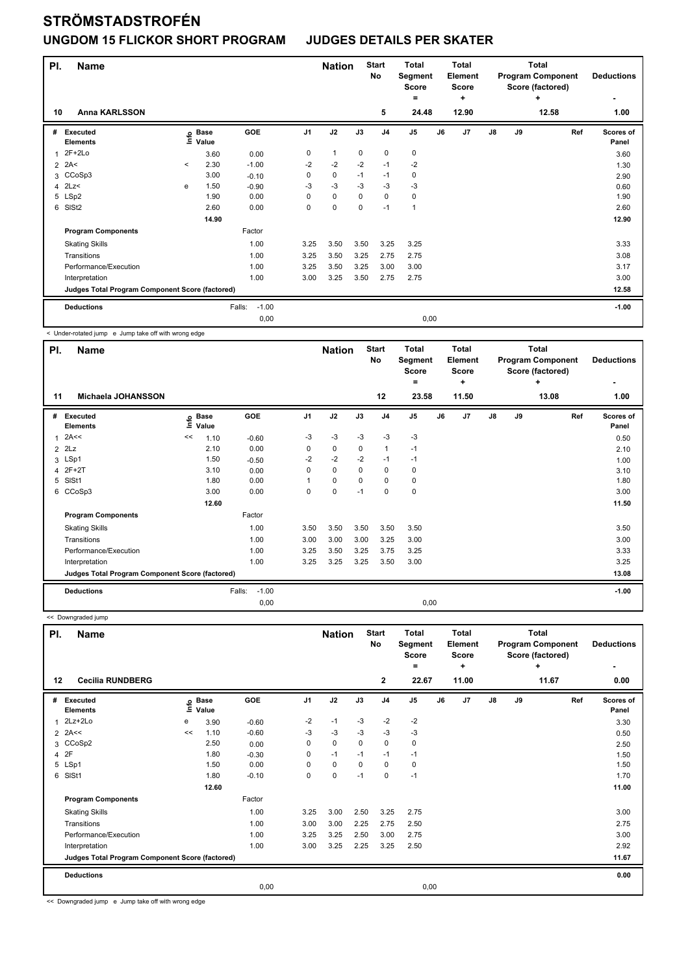| PI.          | <b>Name</b>                                     |              |                            |                   |      | <b>Nation</b> |             | <b>Start</b><br><b>No</b> | Total<br>Segment<br><b>Score</b><br>$=$ |    | <b>Total</b><br>Element<br><b>Score</b><br>$\ddot{}$ |    | <b>Total</b><br><b>Program Component</b><br>Score (factored) | <b>Deductions</b><br>$\overline{\phantom{0}}$ |                    |
|--------------|-------------------------------------------------|--------------|----------------------------|-------------------|------|---------------|-------------|---------------------------|-----------------------------------------|----|------------------------------------------------------|----|--------------------------------------------------------------|-----------------------------------------------|--------------------|
| 10           | <b>Anna KARLSSON</b>                            |              |                            |                   |      |               |             | 5                         | 24.48                                   |    | 12.90                                                |    |                                                              | 12.58                                         | 1.00               |
| #            | <b>Executed</b><br><b>Elements</b>              |              | e Base<br>E Value<br>Value | GOE               | J1   | J2            | J3          | J <sub>4</sub>            | J <sub>5</sub>                          | J6 | J7                                                   | J8 | J9                                                           | Ref                                           | Scores of<br>Panel |
| $\mathbf{1}$ | $2F+2Lo$                                        |              | 3.60                       | 0.00              | 0    | $\mathbf{1}$  | 0           | 0                         | 0                                       |    |                                                      |    |                                                              |                                               | 3.60               |
|              | $2$ 2A<                                         | $\checkmark$ | 2.30                       | $-1.00$           | $-2$ | $-2$          | $-2$        | $-1$                      | $-2$                                    |    |                                                      |    |                                                              |                                               | 1.30               |
| 3            | CCoSp3                                          |              | 3.00                       | $-0.10$           | 0    | 0             | $-1$        | $-1$                      | 0                                       |    |                                                      |    |                                                              |                                               | 2.90               |
| 4            | 2Lz                                             | e            | 1.50                       | $-0.90$           | -3   | $-3$          | $-3$        | $-3$                      | $-3$                                    |    |                                                      |    |                                                              |                                               | 0.60               |
|              | 5 LSp2                                          |              | 1.90                       | 0.00              | 0    | $\mathbf 0$   | $\Omega$    | $\mathbf 0$               | 0                                       |    |                                                      |    |                                                              |                                               | 1.90               |
| 6            | SISt <sub>2</sub>                               |              | 2.60                       | 0.00              | 0    | 0             | $\mathbf 0$ | $-1$                      | 1                                       |    |                                                      |    |                                                              |                                               | 2.60               |
|              |                                                 |              | 14.90                      |                   |      |               |             |                           |                                         |    |                                                      |    |                                                              |                                               | 12.90              |
|              | <b>Program Components</b>                       |              |                            | Factor            |      |               |             |                           |                                         |    |                                                      |    |                                                              |                                               |                    |
|              | <b>Skating Skills</b>                           |              |                            | 1.00              | 3.25 | 3.50          | 3.50        | 3.25                      | 3.25                                    |    |                                                      |    |                                                              |                                               | 3.33               |
|              | Transitions                                     |              |                            | 1.00              | 3.25 | 3.50          | 3.25        | 2.75                      | 2.75                                    |    |                                                      |    |                                                              |                                               | 3.08               |
|              | Performance/Execution                           |              |                            | 1.00              | 3.25 | 3.50          | 3.25        | 3.00                      | 3.00                                    |    |                                                      |    |                                                              |                                               | 3.17               |
|              | Interpretation                                  |              |                            | 1.00              | 3.00 | 3.25          | 3.50        | 2.75                      | 2.75                                    |    |                                                      |    |                                                              |                                               | 3.00               |
|              | Judges Total Program Component Score (factored) |              |                            |                   |      |               |             |                           |                                         |    |                                                      |    |                                                              |                                               | 12.58              |
|              | <b>Deductions</b>                               |              |                            | $-1.00$<br>Falls: |      |               |             |                           |                                         |    |                                                      |    |                                                              |                                               | $-1.00$            |
|              |                                                 |              |                            | 0,00              |      |               |             |                           | 0,00                                    |    |                                                      |    |                                                              |                                               |                    |

< Under-rotated jump e Jump take off with wrong edge

| PI.            | <b>Name</b>                                     |    |                            |                   |                | <b>Nation</b> |             | <b>Start</b><br>No | <b>Total</b><br>Segment<br><b>Score</b><br>= |    | <b>Total</b><br>Element<br><b>Score</b><br>٠ |               | Total<br><b>Program Component</b><br>Score (factored) | <b>Deductions</b> |                    |
|----------------|-------------------------------------------------|----|----------------------------|-------------------|----------------|---------------|-------------|--------------------|----------------------------------------------|----|----------------------------------------------|---------------|-------------------------------------------------------|-------------------|--------------------|
| 11             | Michaela JOHANSSON                              |    |                            |                   |                |               |             | 12                 | 23.58                                        |    | 11.50                                        |               |                                                       | 13.08             | 1.00               |
| #              | <b>Executed</b><br><b>Elements</b>              |    | e Base<br>E Value<br>Value | GOE               | J <sub>1</sub> | J2            | J3          | J <sub>4</sub>     | J <sub>5</sub>                               | J6 | J <sub>7</sub>                               | $\mathsf{J}8$ | J9                                                    | Ref               | Scores of<br>Panel |
| 1              | 2A<<                                            | << | 1.10                       | $-0.60$           | -3             | $-3$          | $-3$        | $-3$               | $-3$                                         |    |                                              |               |                                                       |                   | 0.50               |
|                | $2$ $2Lz$                                       |    | 2.10                       | 0.00              | 0              | $\mathbf 0$   | $\mathbf 0$ | $\mathbf{1}$       | $-1$                                         |    |                                              |               |                                                       |                   | 2.10               |
|                | 3 LSp1                                          |    | 1.50                       | $-0.50$           | $-2$           | $-2$          | $-2$        | $-1$               | $-1$                                         |    |                                              |               |                                                       |                   | 1.00               |
| $\overline{4}$ | $2F+2T$                                         |    | 3.10                       | 0.00              | $\Omega$       | $\mathbf 0$   | $\Omega$    | $\mathbf 0$        | 0                                            |    |                                              |               |                                                       |                   | 3.10               |
| 5              | SISt1                                           |    | 1.80                       | 0.00              |                | 0             | 0           | 0                  | 0                                            |    |                                              |               |                                                       |                   | 1.80               |
| 6              | CCoSp3                                          |    | 3.00                       | 0.00              | 0              | $\mathbf 0$   | $-1$        | $\mathbf 0$        | $\mathbf 0$                                  |    |                                              |               |                                                       |                   | 3.00               |
|                |                                                 |    | 12.60                      |                   |                |               |             |                    |                                              |    |                                              |               |                                                       |                   | 11.50              |
|                | <b>Program Components</b>                       |    |                            | Factor            |                |               |             |                    |                                              |    |                                              |               |                                                       |                   |                    |
|                | <b>Skating Skills</b>                           |    |                            | 1.00              | 3.50           | 3.50          | 3.50        | 3.50               | 3.50                                         |    |                                              |               |                                                       |                   | 3.50               |
|                | Transitions                                     |    |                            | 1.00              | 3.00           | 3.00          | 3.00        | 3.25               | 3.00                                         |    |                                              |               |                                                       |                   | 3.00               |
|                | Performance/Execution                           |    |                            | 1.00              | 3.25           | 3.50          | 3.25        | 3.75               | 3.25                                         |    |                                              |               |                                                       |                   | 3.33               |
|                | Interpretation                                  |    |                            | 1.00              | 3.25           | 3.25          | 3.25        | 3.50               | 3.00                                         |    |                                              |               |                                                       |                   | 3.25               |
|                | Judges Total Program Component Score (factored) |    |                            |                   |                |               |             |                    |                                              |    |                                              |               |                                                       |                   | 13.08              |
|                | <b>Deductions</b>                               |    |                            | $-1.00$<br>Falls: |                |               |             |                    |                                              |    |                                              |               |                                                       |                   | $-1.00$            |
|                |                                                 |    |                            | 0,00              |                |               |             |                    | 0,00                                         |    |                                              |               |                                                       |                   |                    |

<< Downgraded jump

| <b>Name</b> |                                                                                                                                                                                                                                                             |       |                      |                                                 |             |             | <b>Total</b><br>Score<br>۰ | <b>Total</b><br>Element<br><b>Score</b><br>÷ |    | <b>Total</b><br><b>Program Component</b><br>Score (factored)<br>÷ |               |    | <b>Deductions</b><br>$\overline{\phantom{0}}$ |                    |
|-------------|-------------------------------------------------------------------------------------------------------------------------------------------------------------------------------------------------------------------------------------------------------------|-------|----------------------|-------------------------------------------------|-------------|-------------|----------------------------|----------------------------------------------|----|-------------------------------------------------------------------|---------------|----|-----------------------------------------------|--------------------|
|             |                                                                                                                                                                                                                                                             |       |                      |                                                 |             |             |                            |                                              |    |                                                                   |               |    |                                               | 0.00               |
|             | ١nfo                                                                                                                                                                                                                                                        |       | GOE                  | J <sub>1</sub>                                  | J2          | J3          | J <sub>4</sub>             | J <sub>5</sub>                               | J6 | J7                                                                | $\mathsf{J}8$ | J9 | Ref                                           | Scores of<br>Panel |
|             | е                                                                                                                                                                                                                                                           | 3.90  | $-0.60$              | $-2$                                            | $-1$        | $-3$        | $-2$                       | $-2$                                         |    |                                                                   |               |    |                                               | 3.30               |
|             | <<                                                                                                                                                                                                                                                          | 1.10  | $-0.60$              | -3                                              | $-3$        | -3          | -3                         | -3                                           |    |                                                                   |               |    |                                               | 0.50               |
|             |                                                                                                                                                                                                                                                             | 2.50  | 0.00                 | 0                                               | $\mathbf 0$ | $\mathbf 0$ | $\mathbf 0$                | $\pmb{0}$                                    |    |                                                                   |               |    |                                               | 2.50               |
|             |                                                                                                                                                                                                                                                             | 1.80  | $-0.30$              | 0                                               | $-1$        | $-1$        | $-1$                       | $-1$                                         |    |                                                                   |               |    |                                               | 1.50               |
|             |                                                                                                                                                                                                                                                             | 1.50  | 0.00                 | $\Omega$                                        | 0           | $\Omega$    | 0                          | 0                                            |    |                                                                   |               |    |                                               | 1.50               |
|             |                                                                                                                                                                                                                                                             | 1.80  | $-0.10$              | $\Omega$                                        | $\mathbf 0$ | $-1$        | $\mathbf 0$                | $-1$                                         |    |                                                                   |               |    |                                               | 1.70               |
|             |                                                                                                                                                                                                                                                             | 12.60 |                      |                                                 |             |             |                            |                                              |    |                                                                   |               |    |                                               | 11.00              |
|             |                                                                                                                                                                                                                                                             |       | Factor               |                                                 |             |             |                            |                                              |    |                                                                   |               |    |                                               |                    |
|             |                                                                                                                                                                                                                                                             |       | 1.00                 | 3.25                                            | 3.00        | 2.50        | 3.25                       | 2.75                                         |    |                                                                   |               |    |                                               | 3.00               |
|             |                                                                                                                                                                                                                                                             |       | 1.00                 | 3.00                                            | 3.00        | 2.25        | 2.75                       | 2.50                                         |    |                                                                   |               |    |                                               | 2.75               |
|             |                                                                                                                                                                                                                                                             |       | 1.00                 | 3.25                                            | 3.25        | 2.50        | 3.00                       | 2.75                                         |    |                                                                   |               |    |                                               | 3.00               |
|             |                                                                                                                                                                                                                                                             |       | 1.00                 | 3.00                                            | 3.25        | 2.25        | 3.25                       | 2.50                                         |    |                                                                   |               |    |                                               | 2.92               |
|             |                                                                                                                                                                                                                                                             |       |                      |                                                 |             |             |                            |                                              |    |                                                                   |               |    |                                               | 11.67              |
|             |                                                                                                                                                                                                                                                             |       |                      |                                                 |             |             |                            |                                              |    |                                                                   |               |    |                                               | 0.00               |
|             |                                                                                                                                                                                                                                                             |       | 0,00                 |                                                 |             |             |                            |                                              |    |                                                                   |               |    |                                               |                    |
|             | <b>Cecilia RUNDBERG</b><br>Executed<br><b>Elements</b><br>2Lz+2Lo<br>$2$ 2A<<<br>3 CCoSp2<br>4 2F<br>5 LSp1<br>6 SISt1<br><b>Program Components</b><br><b>Skating Skills</b><br>Transitions<br>Performance/Execution<br>Interpretation<br><b>Deductions</b> |       | <b>Base</b><br>Value | Judges Total Program Component Score (factored) |             |             | <b>Nation</b>              | <b>Start</b><br>No<br>$\mathbf{2}$           |    | Segment<br>22.67<br>0,00                                          | 11.00         |    |                                               | 11.67              |

<< Downgraded jump e Jump take off with wrong edge